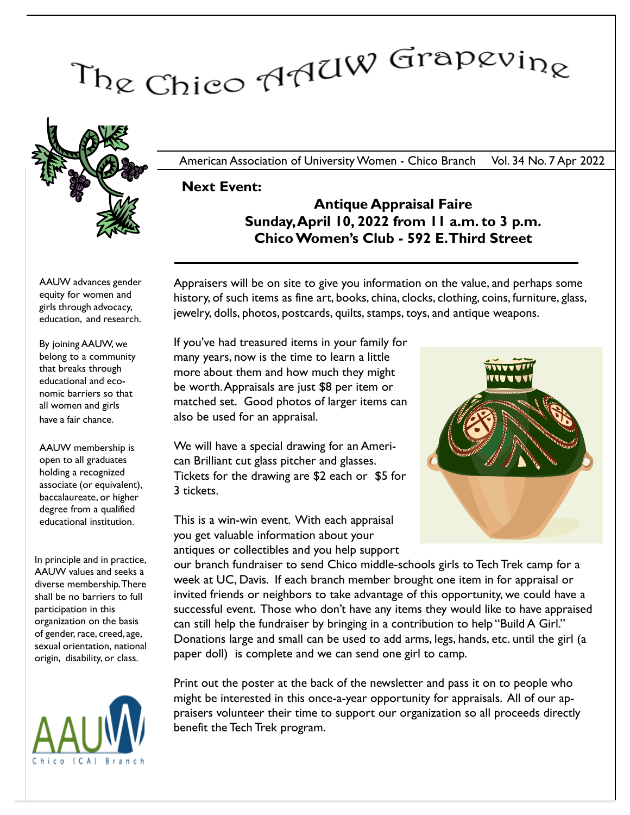# The Chico AAUW Grapevine



American Association of University Women - Chico Branch Vol. 34 No. 7 Apr 2022

Next Event:

## Antique Appraisal Faire Sunday, April 10, 2022 from 11 a.m. to 3 p.m. Chico Women's Club - 592 E.Third Street

AAUW advances gender equity for women and girls through advocacy, education, and research.

By joining AAUW, we belong to a community that breaks through educational and economic barriers so that all women and girls have a fair chance.

AAUW membership is open to all graduates holding a recognized associate (or equivalent), baccalaureate, or higher degree from a qualified educational institution.

In principle and in practice, AAUW values and seeks a diverse membership. There shall be no barriers to full participation in this organization on the basis of gender, race, creed, age, sexual orientation, national origin, disability, or class.



Appraisers will be on site to give you information on the value, and perhaps some history, of such items as fine art, books, china, clocks, clothing, coins, furniture, glass, jewelry, dolls, photos, postcards, quilts, stamps, toys, and antique weapons.

If you've had treasured items in your family for many years, now is the time to learn a little more about them and how much they might be worth.Appraisals are just \$8 per item or matched set. Good photos of larger items can also be used for an appraisal.

We will have a special drawing for an American Brilliant cut glass pitcher and glasses. Tickets for the drawing are \$2 each or \$5 for 3 tickets.

This is a win-win event. With each appraisal you get valuable information about your antiques or collectibles and you help support



our branch fundraiser to send Chico middle-schools girls to Tech Trek camp for a week at UC, Davis. If each branch member brought one item in for appraisal or invited friends or neighbors to take advantage of this opportunity, we could have a successful event. Those who don't have any items they would like to have appraised can still help the fundraiser by bringing in a contribution to help "Build A Girl." Donations large and small can be used to add arms, legs, hands, etc. until the girl (a paper doll) is complete and we can send one girl to camp.

Print out the poster at the back of the newsletter and pass it on to people who might be interested in this once-a-year opportunity for appraisals. All of our appraisers volunteer their time to support our organization so all proceeds directly benefit the Tech Trek program.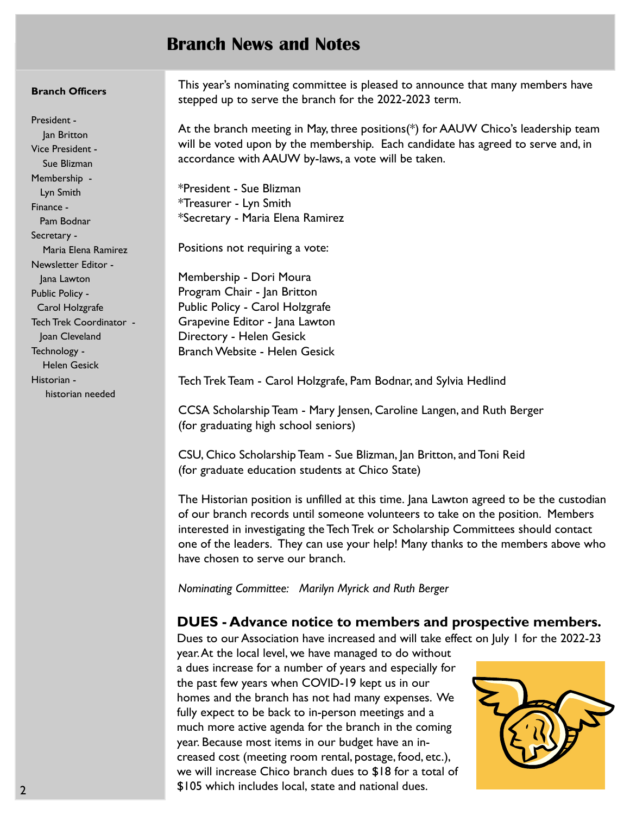# Branch News and Notes

#### Branch Officers

President - Jan Britton Vice President - Sue Blizman Membership - Lyn Smith Finance - Pam Bodnar Secretary - Maria Elena Ramirez Newsletter Editor - Jana Lawton Public Policy - Carol Holzgrafe Tech Trek Coordinator - Joan Cleveland Technology - Helen Gesick Historian historian needed

This year's nominating committee is pleased to announce that many members have stepped up to serve the branch for the 2022-2023 term.

At the branch meeting in May, three positions(\*) for AAUW Chico's leadership team will be voted upon by the membership. Each candidate has agreed to serve and, in accordance with AAUW by-laws, a vote will be taken.

\*President - Sue Blizman \*Treasurer - Lyn Smith \*Secretary - Maria Elena Ramirez

Positions not requiring a vote:

Membership - Dori Moura Program Chair - Jan Britton Public Policy - Carol Holzgrafe Grapevine Editor - Jana Lawton Directory - Helen Gesick Branch Website - Helen Gesick

Tech Trek Team - Carol Holzgrafe, Pam Bodnar, and Sylvia Hedlind

CCSA Scholarship Team - Mary Jensen, Caroline Langen, and Ruth Berger (for graduating high school seniors)

CSU, Chico Scholarship Team - Sue Blizman, Jan Britton, and Toni Reid (for graduate education students at Chico State)

The Historian position is unfilled at this time. Jana Lawton agreed to be the custodian of our branch records until someone volunteers to take on the position. Members interested in investigating the Tech Trek or Scholarship Committees should contact one of the leaders. They can use your help! Many thanks to the members above who have chosen to serve our branch.

Nominating Committee: Marilyn Myrick and Ruth Berger

### DUES - Advance notice to members and prospective members.

Dues to our Association have increased and will take effect on July 1 for the 2022-23

year. At the local level, we have managed to do without a dues increase for a number of years and especially for the past few years when COVID-19 kept us in our homes and the branch has not had many expenses. We fully expect to be back to in-person meetings and a much more active agenda for the branch in the coming year. Because most items in our budget have an increased cost (meeting room rental, postage, food, etc.), we will increase Chico branch dues to \$18 for a total of \$105 which includes local, state and national dues.

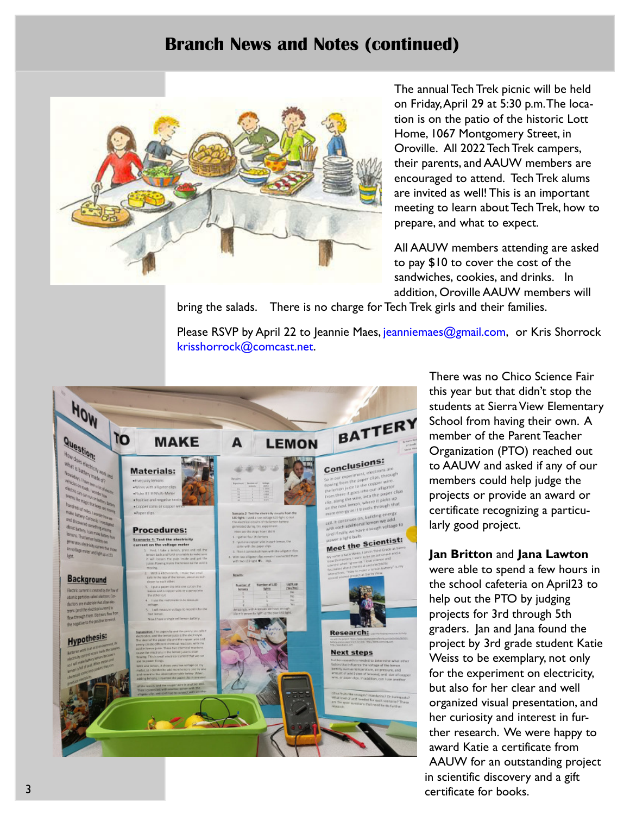# Branch News and Notes (continued)



The annual Tech Trek picnic will be held on Friday, April 29 at 5:30 p.m.The location is on the patio of the historic Lott Home, 1067 Montgomery Street, in Oroville. All 2022 Tech Trek campers, their parents, and AAUW members are encouraged to attend. Tech Trek alums are invited as well! This is an important meeting to learn about Tech Trek, how to prepare, and what to expect.

All AAUW members attending are asked to pay \$10 to cover the cost of the sandwiches, cookies, and drinks. In addition, Oroville AAUW members will

bring the salads. There is no charge for Tech Trek girls and their families.

Please RSVP by April 22 to Jeannie Maes, jeanniemaes@gmail.com, or Kris Shorrock krisshorrock@comcast.net.



There was no Chico Science Fair this year but that didn't stop the students at Sierra View Elementary School from having their own. A member of the Parent Teacher Organization (PTO) reached out to AAUW and asked if any of our members could help judge the projects or provide an award or certificate recognizing a particularly good project.

#### Jan Britton and Jana Lawton

were able to spend a few hours in the school cafeteria on April23 to help out the PTO by judging projects for 3rd through 5th graders. Jan and Jana found the project by 3rd grade student Katie Weiss to be exemplary, not only for the experiment on electricity, but also for her clear and well organized visual presentation, and her curiosity and interest in further research. We were happy to award Katie a certificate from AAUW for an outstanding project in scientific discovery and a gift certificate for books.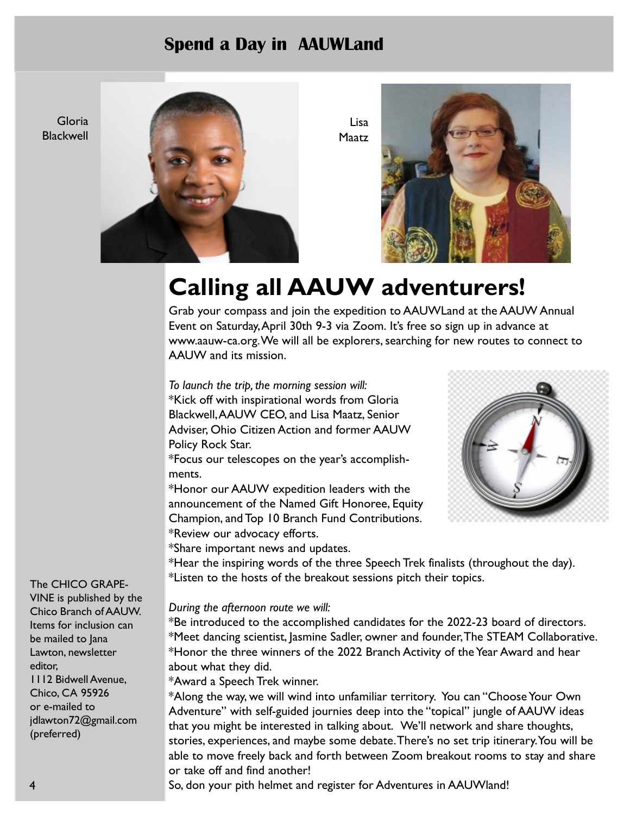# Spend a Day in AAUWLand

Gloria **Blackwell** 



Lisa Maatz



# Calling all AAUW adventurers!

Grab your compass and join the expedition to AAUWLand at the AAUW Annual Event on Saturday, April 30th 9-3 via Zoom. It's free so sign up in advance at www.aauw-ca.org. We will all be explorers, searching for new routes to connect to AAUW and its mission.

To launch the trip, the morning session will: \*Kick off with inspirational words from Gloria Blackwell,AAUW CEO, and Lisa Maatz, Senior Adviser, Ohio Citizen Action and former AAUW Policy Rock Star.

\*Focus our telescopes on the year's accomplishments.

\*Honor our AAUW expedition leaders with the announcement of the Named Gift Honoree, Equity Champion, and Top 10 Branch Fund Contributions. \*Review our advocacy efforts.

\*Share important news and updates.



\*Hear the inspiring words of the three Speech Trek finalists (throughout the day). \*Listen to the hosts of the breakout sessions pitch their topics.

#### During the afternoon route we will:

\*Be introduced to the accomplished candidates for the 2022-23 board of directors. \*Meet dancing scientist, Jasmine Sadler, owner and founder, The STEAM Collaborative. \*Honor the three winners of the 2022 Branch Activity of the Year Award and hear about what they did.

\*Award a Speech Trek winner.

\*Along the way, we will wind into unfamiliar territory. You can "Choose Your Own Adventure" with self-guided journies deep into the "topical" jungle of AAUW ideas that you might be interested in talking about. We'll network and share thoughts, stories, experiences, and maybe some debate. There's no set trip itinerary. You will be able to move freely back and forth between Zoom breakout rooms to stay and share or take off and find another!

So, don your pith helmet and register for Adventures in AAUWland!

The CHICO GRAPE-

VINE is published by the Chico Branch of AAUW. Items for inclusion can be mailed to Jana Lawton, newsletter editor, 1112 Bidwell Avenue, Chico, CA 95926 or e-mailed to jdlawton72@gmail.com (preferred)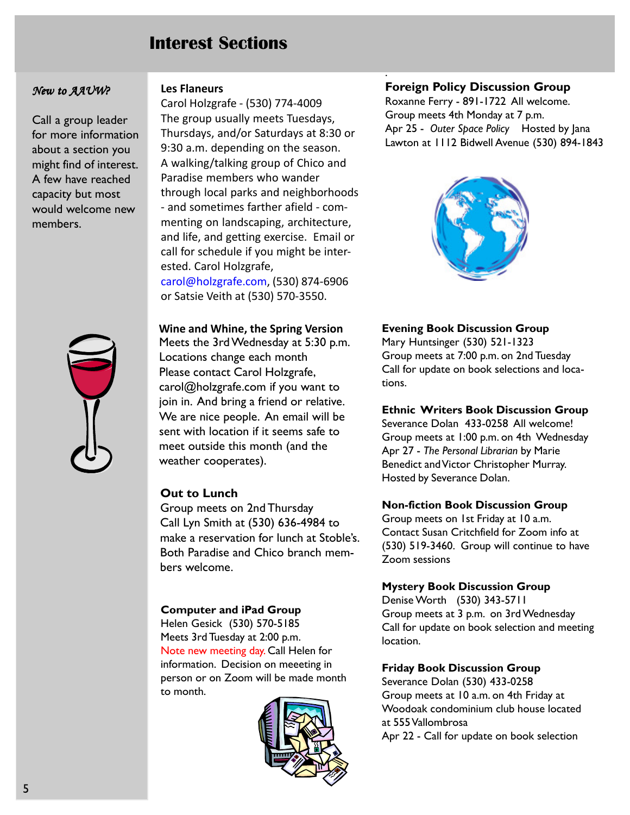# Interest Sections

#### New to AAUW?

Call a group leader for more information about a section you might find of interest. A few have reached capacity but most would welcome new members.



#### Les Flaneurs

Carol Holzgrafe - (530) 774-4009 The group usually meets Tuesdays, Thursdays, and/or Saturdays at 8:30 or 9:30 a.m. depending on the season. A walking/talking group of Chico and Paradise members who wander through local parks and neighborhoods - and sometimes farther afield - commenting on landscaping, architecture, and life, and getting exercise. Email or call for schedule if you might be interested. Carol Holzgrafe, carol@holzgrafe.com, (530) 874-6906 or Satsie Veith at (530) 570-3550.

Wine and Whine, the Spring Version Meets the 3rd Wednesday at 5:30 p.m. Locations change each month Please contact Carol Holzgrafe, carol@holzgrafe.com if you want to join in. And bring a friend or relative. We are nice people. An email will be sent with location if it seems safe to meet outside this month (and the weather cooperates).

#### Out to Lunch

Group meets on 2nd Thursday Call Lyn Smith at (530) 636-4984 to make a reservation for lunch at Stoble's. Both Paradise and Chico branch members welcome.

#### Computer and iPad Group

Helen Gesick (530) 570-5185 Meets 3rd Tuesday at 2:00 p.m. Note new meeting day. Call Helen for information. Decision on meeeting in person or on Zoom will be made month to month.



#### Foreign Policy Discussion Group

.

Roxanne Ferry - 891-1722 All welcome. Group meets 4th Monday at 7 p.m. Apr 25 - Outer Space Policy Hosted by Jana Lawton at 1112 Bidwell Avenue (530) 894-1843



#### Evening Book Discussion Group

Mary Huntsinger (530) 521-1323 Group meets at 7:00 p.m. on 2nd Tuesday Call for update on book selections and locations.

#### Ethnic Writers Book Discussion Group

Severance Dolan 433-0258 All welcome! Group meets at 1:00 p.m. on 4th Wednesday Apr 27 - The Personal Librarian by Marie Benedict and Victor Christopher Murray. Hosted by Severance Dolan.

#### Non-fiction Book Discussion Group

Group meets on 1st Friday at 10 a.m. Contact Susan Critchfield for Zoom info at (530) 519-3460. Group will continue to have Zoom sessions

#### Mystery Book Discussion Group

Denise Worth (530) 343-5711 Group meets at 3 p.m. on 3rd Wednesday Call for update on book selection and meeting location.

#### Friday Book Discussion Group

Severance Dolan (530) 433-0258 Group meets at 10 a.m. on 4th Friday at Woodoak condominium club house located at 555 Vallombrosa Apr 22 - Call for update on book selection